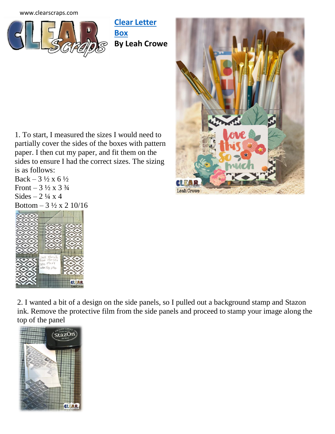[www.clearscraps.com](http://www.clearscraps.com/)



**[Clear Letter](http://www.clearscraps.com/product_p/csacbxletter.htm)  [Box](http://www.clearscraps.com/product_p/csacbxletter.htm) By Leah Crowe**



1. To start, I measured the sizes I would need to partially cover the sides of the boxes with pattern paper. I then cut my paper, and fit them on the sides to ensure I had the correct sizes. The sizing is as follows:

 $Back - 3\frac{1}{2} \times 6\frac{1}{2}$ Front –  $3\frac{1}{2} \times 3\frac{3}{4}$ Sides  $-2\frac{1}{4}x4$ Bottom  $-3\frac{1}{2}$  x 2 10/16



2. I wanted a bit of a design on the side panels, so I pulled out a background stamp and Stazon ink. Remove the protective film from the side panels and proceed to stamp your image along the top of the panel

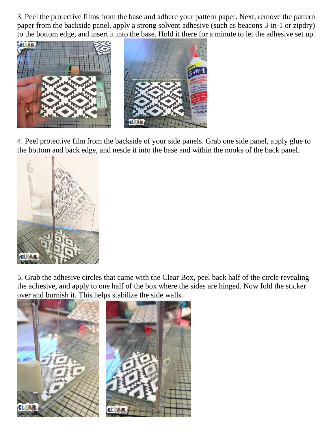3. Peel the protective films from the base and adhere your pattern paper. Next, remove the pattern paper from the backside panel, apply a strong solvent adhesive (such as beacons 3-in-1 or zipdry) to the bottom edge, and insert it into the base. Hold it there for a minute to let the adhesive set up.



4. Peel protective film from the backside of your side panels. Grab one side panel, apply glue to the bottom and back edge, and nestle it into the base and within the nooks of the back panel.



5. Grab the adhesive circles that came with the Clear Box, peel back half of the circle revealing the adhesive, and apply to one half of the box where the sides are hinged. Now fold the sticker over and burnish it. This helps stabilize the side walls.